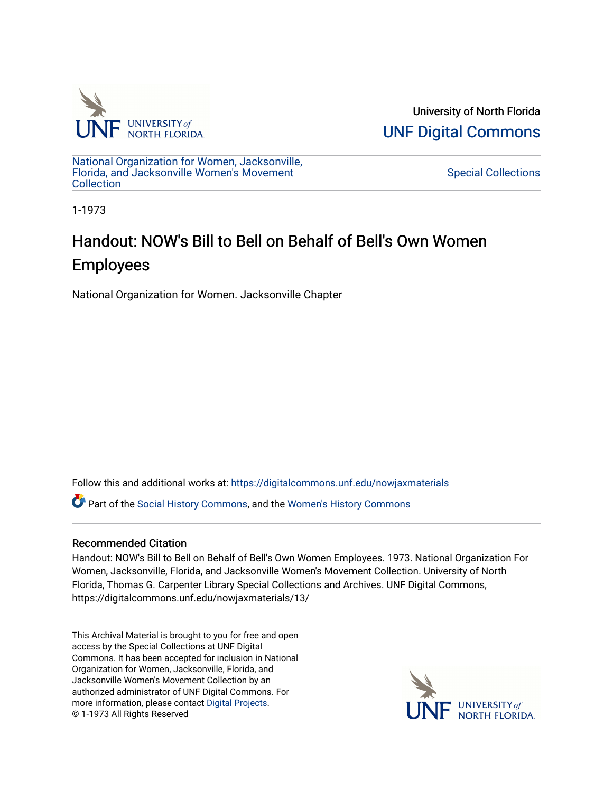

University of North Florida [UNF Digital Commons](https://digitalcommons.unf.edu/) 

[National Organization for Women, Jacksonville,](https://digitalcommons.unf.edu/nowjaxmaterials) [Florida, and Jacksonville Women's Movement](https://digitalcommons.unf.edu/nowjaxmaterials) **Collection** 

[Special Collections](https://digitalcommons.unf.edu/special_collections) 

1-1973

## Handout: NOW's Bill to Bell on Behalf of Bell's Own Women Employees

National Organization for Women. Jacksonville Chapter

Follow this and additional works at: [https://digitalcommons.unf.edu/nowjaxmaterials](https://digitalcommons.unf.edu/nowjaxmaterials?utm_source=digitalcommons.unf.edu%2Fnowjaxmaterials%2F13&utm_medium=PDF&utm_campaign=PDFCoverPages) 

Part of the [Social History Commons](http://network.bepress.com/hgg/discipline/506?utm_source=digitalcommons.unf.edu%2Fnowjaxmaterials%2F13&utm_medium=PDF&utm_campaign=PDFCoverPages), and the [Women's History Commons](http://network.bepress.com/hgg/discipline/507?utm_source=digitalcommons.unf.edu%2Fnowjaxmaterials%2F13&utm_medium=PDF&utm_campaign=PDFCoverPages)

## Recommended Citation

Handout: NOW's Bill to Bell on Behalf of Bell's Own Women Employees. 1973. National Organization For Women, Jacksonville, Florida, and Jacksonville Women's Movement Collection. University of North Florida, Thomas G. Carpenter Library Special Collections and Archives. UNF Digital Commons, https://digitalcommons.unf.edu/nowjaxmaterials/13/

This Archival Material is brought to you for free and open access by the Special Collections at UNF Digital Commons. It has been accepted for inclusion in National Organization for Women, Jacksonville, Florida, and Jacksonville Women's Movement Collection by an authorized administrator of UNF Digital Commons. For more information, please contact [Digital Projects](mailto:lib-digital@unf.edu). © 1-1973 All Rights Reserved